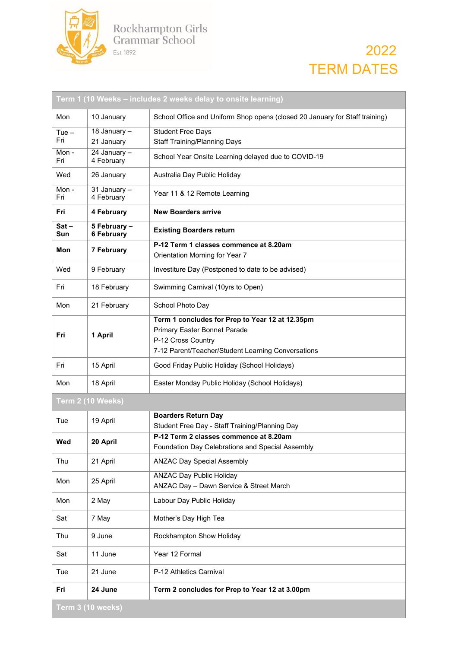

## 2022 TERM DATES

|                   |                                   | Term 1 (10 Weeks – includes 2 weeks delay to onsite learning)                                         |  |
|-------------------|-----------------------------------|-------------------------------------------------------------------------------------------------------|--|
| Mon               | 10 January                        | School Office and Uniform Shop opens (closed 20 January for Staff training)                           |  |
| $Tue -$           | 18 January -                      | <b>Student Free Days</b>                                                                              |  |
| Fri               | 21 January                        | <b>Staff Training/Planning Days</b>                                                                   |  |
| Mon-<br>Fri       | 24 January -<br>4 February        | School Year Onsite Learning delayed due to COVID-19                                                   |  |
| Wed               | 26 January                        | Australia Day Public Holiday                                                                          |  |
| Mon-<br>Fri       | $31$ January $-$<br>4 February    | Year 11 & 12 Remote Learning                                                                          |  |
| Fri               | 4 February                        | <b>New Boarders arrive</b>                                                                            |  |
| $Sat -$<br>Sun    | 5 February -<br><b>6 February</b> | <b>Existing Boarders return</b>                                                                       |  |
| Mon               | 7 February                        | P-12 Term 1 classes commence at 8.20am                                                                |  |
|                   |                                   | Orientation Morning for Year 7                                                                        |  |
| Wed               | 9 February                        | Investiture Day (Postponed to date to be advised)                                                     |  |
| Fri               | 18 February                       | Swimming Carnival (10yrs to Open)                                                                     |  |
| Mon               | 21 February                       | School Photo Day                                                                                      |  |
| Fri               | 1 April                           | Term 1 concludes for Prep to Year 12 at 12.35pm<br>Primary Easter Bonnet Parade<br>P-12 Cross Country |  |
|                   |                                   | 7-12 Parent/Teacher/Student Learning Conversations                                                    |  |
| Fri               | 15 April                          | Good Friday Public Holiday (School Holidays)                                                          |  |
| Mon               | 18 April                          | Easter Monday Public Holiday (School Holidays)                                                        |  |
| Term 2 (10 Weeks) |                                   |                                                                                                       |  |
| Tue               | 19 April                          | <b>Boarders Return Day</b><br>Student Free Day - Staff Training/Planning Day                          |  |
|                   |                                   | P-12 Term 2 classes commence at 8.20am                                                                |  |
| Wed               | 20 April                          | Foundation Day Celebrations and Special Assembly                                                      |  |
| Thu               | 21 April                          | <b>ANZAC Day Special Assembly</b>                                                                     |  |
| Mon               | 25 April                          | <b>ANZAC Day Public Holiday</b><br>ANZAC Day - Dawn Service & Street March                            |  |
| Mon               | 2 May                             | Labour Day Public Holiday                                                                             |  |
| Sat               | 7 May                             | Mother's Day High Tea                                                                                 |  |
| Thu               | 9 June                            | Rockhampton Show Holiday                                                                              |  |
| Sat               | 11 June                           | Year 12 Formal                                                                                        |  |
| Tue               | 21 June                           | P-12 Athletics Carnival                                                                               |  |
| Fri               | 24 June                           | Term 2 concludes for Prep to Year 12 at 3.00pm                                                        |  |
| Term 3 (10 weeks) |                                   |                                                                                                       |  |